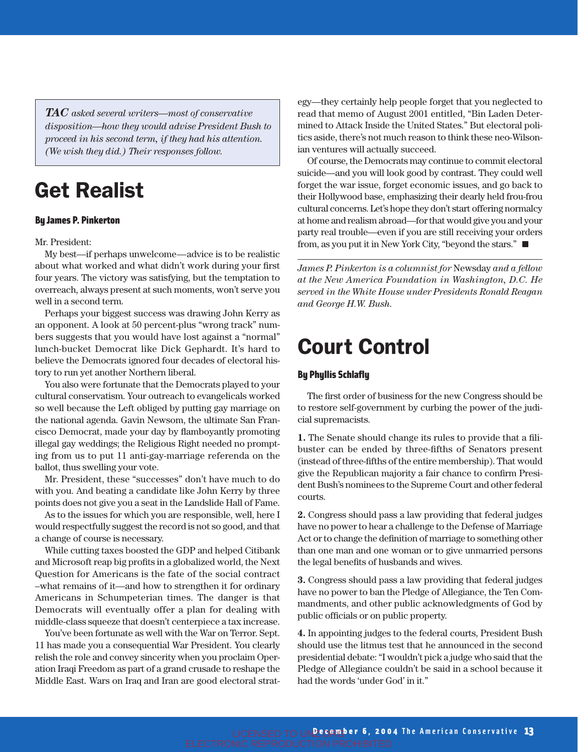*TAC asked several writers—most of conservative disposition—how they would advise President Bush to proceed in his second term, if they had his attention. (We wish they did.) Their responses follow.*

# Get Realist

### By James P. Pinkerton

#### Mr. President:

My best—if perhaps unwelcome—advice is to be realistic about what worked and what didn't work during your first four years. The victory was satisfying, but the temptation to overreach, always present at such moments, won't serve you well in a second term.

Perhaps your biggest success was drawing John Kerry as an opponent. A look at 50 percent-plus "wrong track" numbers suggests that you would have lost against a "normal" lunch-bucket Democrat like Dick Gephardt. It's hard to believe the Democrats ignored four decades of electoral history to run yet another Northern liberal.

You also were fortunate that the Democrats played to your cultural conservatism. Your outreach to evangelicals worked so well because the Left obliged by putting gay marriage on the national agenda. Gavin Newsom, the ultimate San Francisco Democrat, made your day by flamboyantly promoting illegal gay weddings; the Religious Right needed no prompting from us to put 11 anti-gay-marriage referenda on the ballot, thus swelling your vote.

Mr. President, these "successes" don't have much to do with you. And beating a candidate like John Kerry by three points does not give you a seat in the Landslide Hall of Fame.

As to the issues for which you are responsible, well, here I would respectfully suggest the record is not so good, and that a change of course is necessary.

While cutting taxes boosted the GDP and helped Citibank and Microsoft reap big profits in a globalized world, the Next Question for Americans is the fate of the social contract –what remains of it—and how to strengthen it for ordinary Americans in Schumpeterian times. The danger is that Democrats will eventually offer a plan for dealing with middle-class squeeze that doesn't centerpiece a tax increase.

You've been fortunate as well with the War on Terror. Sept. 11 has made you a consequential War President. You clearly relish the role and convey sincerity when you proclaim Operation Iraqi Freedom as part of a grand crusade to reshape the Middle East. Wars on Iraq and Iran are good electoral strategy—they certainly help people forget that you neglected to read that memo of August 2001 entitled, "Bin Laden Determined to Attack Inside the United States." But electoral politics aside, there's not much reason to think these neo-Wilsonian ventures will actually succeed.

Of course, the Democrats may continue to commit electoral suicide—and you will look good by contrast. They could well forget the war issue, forget economic issues, and go back to their Hollywood base, emphasizing their dearly held frou-frou cultural concerns. Let's hope they don't start offering normalcy at home and realism abroad—for that would give you and your party real trouble—even if you are still receiving your orders from, as you put it in New York City, "beyond the stars."

*James P. Pinkerton is a columnist for* Newsday *and a fellow at the New America Foundation in Washington, D.C. He served in the White House under Presidents Ronald Reagan and George H.W. Bush.*

## Court Control

#### By Phyllis Schlafly

The first order of business for the new Congress should be to restore self-government by curbing the power of the judicial supremacists.

**1.** The Senate should change its rules to provide that a filibuster can be ended by three-fifths of Senators present (instead of three-fifths of the entire membership). That would give the Republican majority a fair chance to confirm President Bush's nominees to the Supreme Court and other federal courts.

**2.** Congress should pass a law providing that federal judges have no power to hear a challenge to the Defense of Marriage Act or to change the definition of marriage to something other than one man and one woman or to give unmarried persons the legal benefits of husbands and wives.

**3.** Congress should pass a law providing that federal judges have no power to ban the Pledge of Allegiance, the Ten Commandments, and other public acknowledgments of God by public officials or on public property.

**4.** In appointing judges to the federal courts, President Bush should use the litmus test that he announced in the second presidential debate: "I wouldn't pick a judge who said that the Pledge of Allegiance couldn't be said in a school because it had the words 'under God' in it."